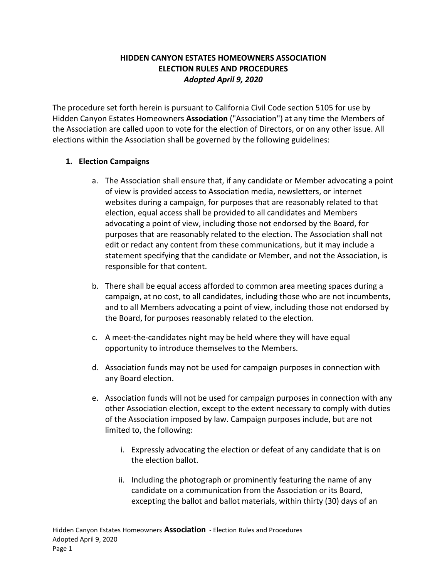#### **HIDDEN CANYON ESTATES HOMEOWNERS ASSOCIATION ELECTION RULES AND PROCEDURES** *Adopted April 9, 2020*

The procedure set forth herein is pursuant to California Civil Code section 5105 for use by Hidden Canyon Estates Homeowners **Association** ("Association") at any time the Members of the Association are called upon to vote for the election of Directors, or on any other issue. All elections within the Association shall be governed by the following guidelines:

#### **1. Election Campaigns**

- a. The Association shall ensure that, if any candidate or Member advocating a point of view is provided access to Association media, newsletters, or internet websites during a campaign, for purposes that are reasonably related to that election, equal access shall be provided to all candidates and Members advocating a point of view, including those not endorsed by the Board, for purposes that are reasonably related to the election. The Association shall not edit or redact any content from these communications, but it may include a statement specifying that the candidate or Member, and not the Association, is responsible for that content.
- b. There shall be equal access afforded to common area meeting spaces during a campaign, at no cost, to all candidates, including those who are not incumbents, and to all Members advocating a point of view, including those not endorsed by the Board, for purposes reasonably related to the election.
- c. A meet-the-candidates night may be held where they will have equal opportunity to introduce themselves to the Members.
- d. Association funds may not be used for campaign purposes in connection with any Board election.
- e. Association funds will not be used for campaign purposes in connection with any other Association election, except to the extent necessary to comply with duties of the Association imposed by law. Campaign purposes include, but are not limited to, the following:
	- i. Expressly advocating the election or defeat of any candidate that is on the election ballot.
	- ii. Including the photograph or prominently featuring the name of any candidate on a communication from the Association or its Board, excepting the ballot and ballot materials, within thirty (30) days of an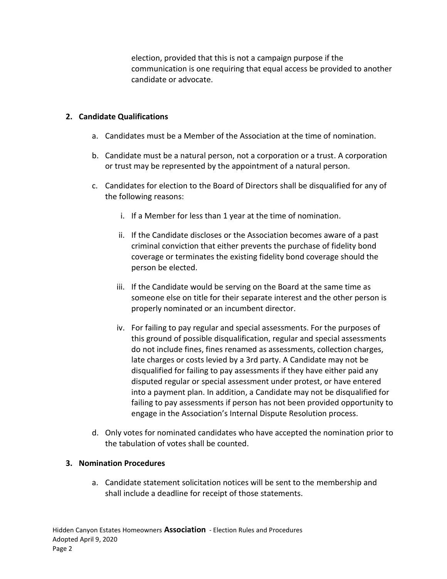election, provided that this is not a campaign purpose if the communication is one requiring that equal access be provided to another candidate or advocate.

#### **2. Candidate Qualifications**

- a. Candidates must be a Member of the Association at the time of nomination.
- b. Candidate must be a natural person, not a corporation or a trust. A corporation or trust may be represented by the appointment of a natural person.
- c. Candidates for election to the Board of Directors shall be disqualified for any of the following reasons:
	- i. If a Member for less than 1 year at the time of nomination.
	- ii. If the Candidate discloses or the Association becomes aware of a past criminal conviction that either prevents the purchase of fidelity bond coverage or terminates the existing fidelity bond coverage should the person be elected.
	- iii. If the Candidate would be serving on the Board at the same time as someone else on title for their separate interest and the other person is properly nominated or an incumbent director.
	- iv. For failing to pay regular and special assessments. For the purposes of this ground of possible disqualification, regular and special assessments do not include fines, fines renamed as assessments, collection charges, late charges or costs levied by a 3rd party. A Candidate may not be disqualified for failing to pay assessments if they have either paid any disputed regular or special assessment under protest, or have entered into a payment plan. In addition, a Candidate may not be disqualified for failing to pay assessments if person has not been provided opportunity to engage in the Association's Internal Dispute Resolution process.
- d. Only votes for nominated candidates who have accepted the nomination prior to the tabulation of votes shall be counted.

#### **3. Nomination Procedures**

a. Candidate statement solicitation notices will be sent to the membership and shall include a deadline for receipt of those statements.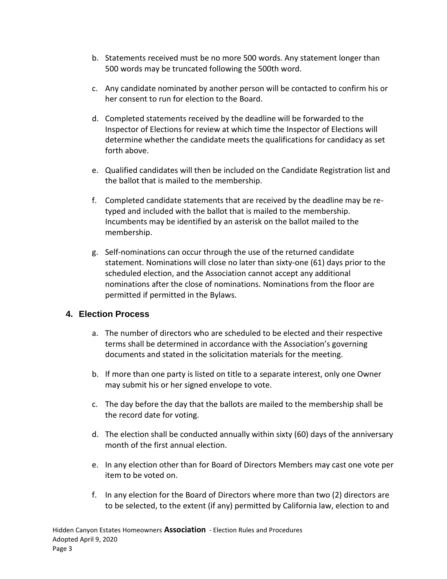- b. Statements received must be no more 500 words. Any statement longer than 500 words may be truncated following the 500th word.
- c. Any candidate nominated by another person will be contacted to confirm his or her consent to run for election to the Board.
- d. Completed statements received by the deadline will be forwarded to the Inspector of Elections for review at which time the Inspector of Elections will determine whether the candidate meets the qualifications for candidacy as set forth above.
- e. Qualified candidates will then be included on the Candidate Registration list and the ballot that is mailed to the membership.
- f. Completed candidate statements that are received by the deadline may be retyped and included with the ballot that is mailed to the membership. Incumbents may be identified by an asterisk on the ballot mailed to the membership.
- g. Self-nominations can occur through the use of the returned candidate statement. Nominations will close no later than sixty-one (61) days prior to the scheduled election, and the Association cannot accept any additional nominations after the close of nominations. Nominations from the floor are permitted if permitted in the Bylaws.

# **4. Election Process**

- a. The number of directors who are scheduled to be elected and their respective terms shall be determined in accordance with the Association's governing documents and stated in the solicitation materials for the meeting.
- b. If more than one party is listed on title to a separate interest, only one Owner may submit his or her signed envelope to vote.
- c. The day before the day that the ballots are mailed to the membership shall be the record date for voting.
- d. The election shall be conducted annually within sixty (60) days of the anniversary month of the first annual election.
- e. In any election other than for Board of Directors Members may cast one vote per item to be voted on.
- f. In any election for the Board of Directors where more than two (2) directors are to be selected, to the extent (if any) permitted by California law, election to and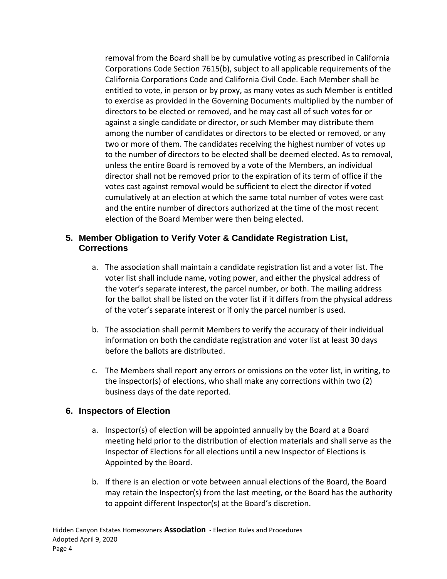removal from the Board shall be by cumulative voting as prescribed in California Corporations Code Section 7615(b), subject to all applicable requirements of the California Corporations Code and California Civil Code. Each Member shall be entitled to vote, in person or by proxy, as many votes as such Member is entitled to exercise as provided in the Governing Documents multiplied by the number of directors to be elected or removed, and he may cast all of such votes for or against a single candidate or director, or such Member may distribute them among the number of candidates or directors to be elected or removed, or any two or more of them. The candidates receiving the highest number of votes up to the number of directors to be elected shall be deemed elected. As to removal, unless the entire Board is removed by a vote of the Members, an individual director shall not be removed prior to the expiration of its term of office if the votes cast against removal would be sufficient to elect the director if voted cumulatively at an election at which the same total number of votes were cast and the entire number of directors authorized at the time of the most recent election of the Board Member were then being elected.

## **5. Member Obligation to Verify Voter & Candidate Registration List, Corrections**

- a. The association shall maintain a candidate registration list and a voter list. The voter list shall include name, voting power, and either the physical address of the voter's separate interest, the parcel number, or both. The mailing address for the ballot shall be listed on the voter list if it differs from the physical address of the voter's separate interest or if only the parcel number is used.
- b. The association shall permit Members to verify the accuracy of their individual information on both the candidate registration and voter list at least 30 days before the ballots are distributed.
- c. The Members shall report any errors or omissions on the voter list, in writing, to the inspector(s) of elections, who shall make any corrections within two (2) business days of the date reported.

## **6. Inspectors of Election**

- a. Inspector(s) of election will be appointed annually by the Board at a Board meeting held prior to the distribution of election materials and shall serve as the Inspector of Elections for all elections until a new Inspector of Elections is Appointed by the Board.
- b. If there is an election or vote between annual elections of the Board, the Board may retain the Inspector(s) from the last meeting, or the Board has the authority to appoint different Inspector(s) at the Board's discretion.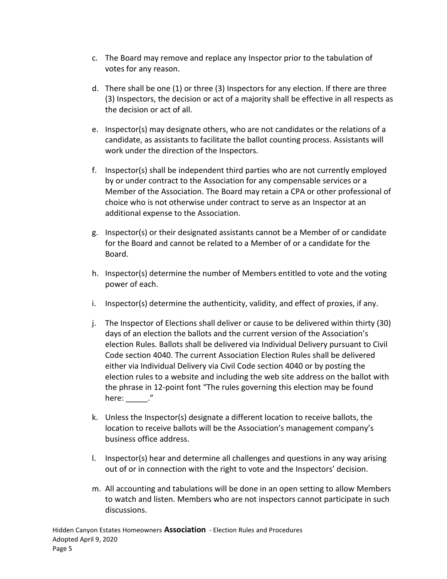- c. The Board may remove and replace any Inspector prior to the tabulation of votes for any reason.
- d. There shall be one (1) or three (3) Inspectors for any election. If there are three (3) Inspectors, the decision or act of a majority shall be effective in all respects as the decision or act of all.
- e. Inspector(s) may designate others, who are not candidates or the relations of a candidate, as assistants to facilitate the ballot counting process. Assistants will work under the direction of the Inspectors.
- f. Inspector(s) shall be independent third parties who are not currently employed by or under contract to the Association for any compensable services or a Member of the Association. The Board may retain a CPA or other professional of choice who is not otherwise under contract to serve as an Inspector at an additional expense to the Association.
- g. Inspector(s) or their designated assistants cannot be a Member of or candidate for the Board and cannot be related to a Member of or a candidate for the Board.
- h. Inspector(s) determine the number of Members entitled to vote and the voting power of each.
- i. Inspector(s) determine the authenticity, validity, and effect of proxies, if any.
- j. The Inspector of Elections shall deliver or cause to be delivered within thirty (30) days of an election the ballots and the current version of the Association's election Rules. Ballots shall be delivered via Individual Delivery pursuant to Civil Code section 4040. The current Association Election Rules shall be delivered either via Individual Delivery via Civil Code section 4040 or by posting the election rules to a website and including the web site address on the ballot with the phrase in 12-point font "The rules governing this election may be found here: ."
- k. Unless the Inspector(s) designate a different location to receive ballots, the location to receive ballots will be the Association's management company's business office address.
- l. Inspector(s) hear and determine all challenges and questions in any way arising out of or in connection with the right to vote and the Inspectors' decision.
- m. All accounting and tabulations will be done in an open setting to allow Members to watch and listen. Members who are not inspectors cannot participate in such discussions.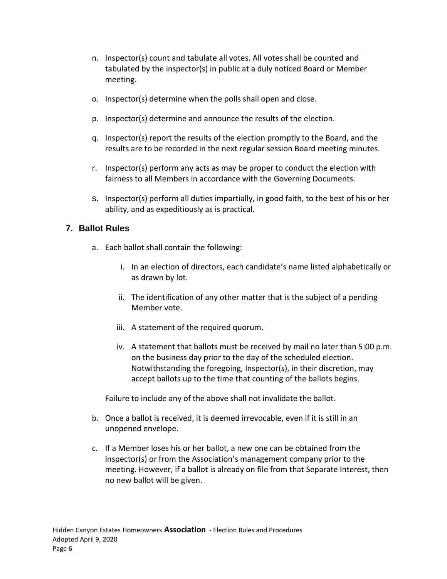- n. Inspector(s) count and tabulate all votes. All votes shall be counted and tabulated by the inspector(s) in public at a duly noticed Board or Member meeting.
- o. Inspector(s) determine when the polls shall open and close.
- p. Inspector(s) determine and announce the results of the election.
- q. Inspector(s) report the results of the election promptly to the Board, and the results are to be recorded in the next regular session Board meeting minutes.
- r. Inspector(s) perform any acts as may be proper to conduct the election with fairness to all Members in accordance with the Governing Documents.
- s. Inspector(s) perform all duties impartially, in good faith, to the best of his or her ability, and as expeditiously as is practical.

## **7. Ballot Rules**

- a. Each ballot shall contain the following:
	- i. In an election of directors, each candidate's name listed alphabetically or as drawn by lot.
	- ii. The identification of any other matter that is the subject of a pending Member vote.
	- iii. A statement of the required quorum.
	- iv. A statement that ballots must be received by mail no later than 5:00 p.m. on the business day prior to the day of the scheduled election. Notwithstanding the foregoing, Inspector(s), in their discretion, may accept ballots up to the time that counting of the ballots begins.

Failure to include any of the above shall not invalidate the ballot.

- b. Once a ballot is received, it is deemed irrevocable, even if it is still in an unopened envelope.
- c. If a Member loses his or her ballot, a new one can be obtained from the inspector(s) or from the Association's management company prior to the meeting. However, if a ballot is already on file from that Separate Interest, then no new ballot will be given.